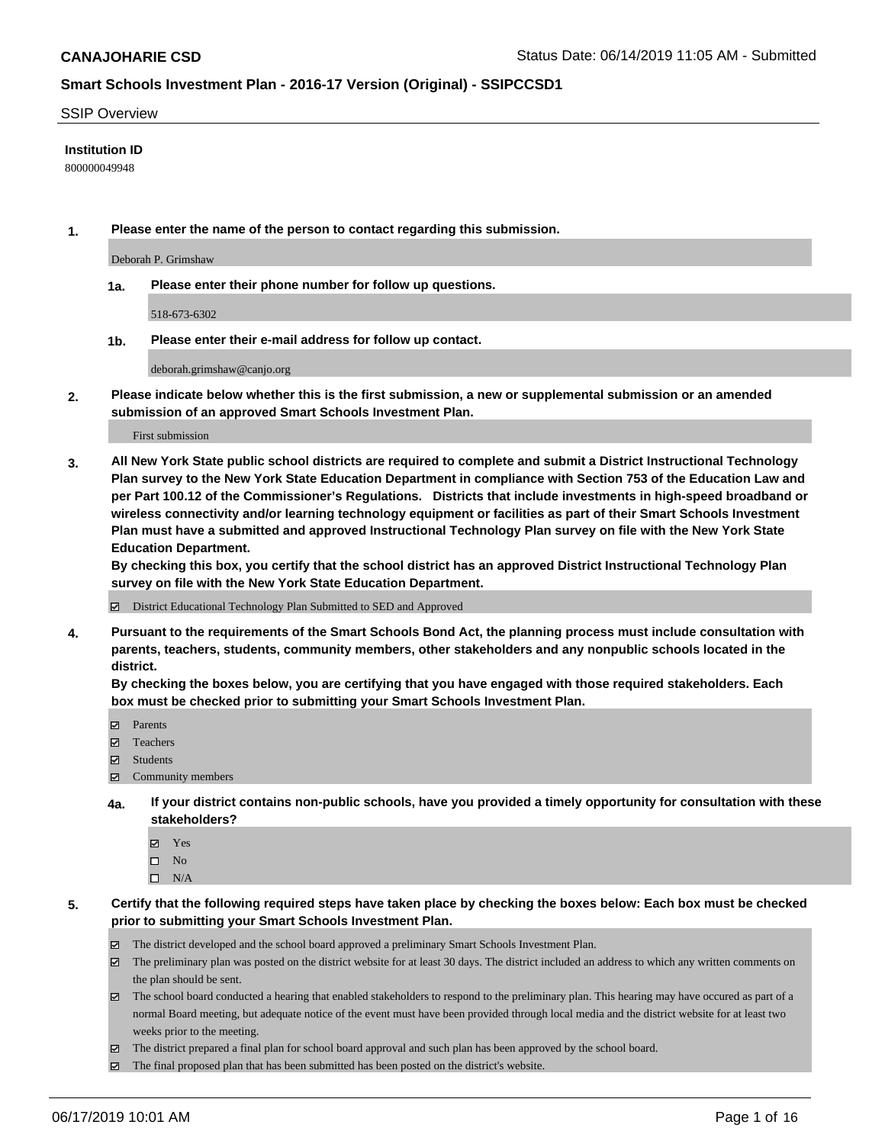#### SSIP Overview

#### **Institution ID**

800000049948

**1. Please enter the name of the person to contact regarding this submission.**

Deborah P. Grimshaw

**1a. Please enter their phone number for follow up questions.**

518-673-6302

**1b. Please enter their e-mail address for follow up contact.**

deborah.grimshaw@canjo.org

**2. Please indicate below whether this is the first submission, a new or supplemental submission or an amended submission of an approved Smart Schools Investment Plan.**

First submission

**3. All New York State public school districts are required to complete and submit a District Instructional Technology Plan survey to the New York State Education Department in compliance with Section 753 of the Education Law and per Part 100.12 of the Commissioner's Regulations. Districts that include investments in high-speed broadband or wireless connectivity and/or learning technology equipment or facilities as part of their Smart Schools Investment Plan must have a submitted and approved Instructional Technology Plan survey on file with the New York State Education Department.** 

**By checking this box, you certify that the school district has an approved District Instructional Technology Plan survey on file with the New York State Education Department.**

District Educational Technology Plan Submitted to SED and Approved

**4. Pursuant to the requirements of the Smart Schools Bond Act, the planning process must include consultation with parents, teachers, students, community members, other stakeholders and any nonpublic schools located in the district.** 

**By checking the boxes below, you are certifying that you have engaged with those required stakeholders. Each box must be checked prior to submitting your Smart Schools Investment Plan.**

- Parents
- Teachers
- Students
- Community members
- **4a. If your district contains non-public schools, have you provided a timely opportunity for consultation with these stakeholders?**
	- Yes
	- $\square$  No
	- $\square$  N/A

**5. Certify that the following required steps have taken place by checking the boxes below: Each box must be checked prior to submitting your Smart Schools Investment Plan.**

- The district developed and the school board approved a preliminary Smart Schools Investment Plan.
- $\boxtimes$  The preliminary plan was posted on the district website for at least 30 days. The district included an address to which any written comments on the plan should be sent.
- $\boxtimes$  The school board conducted a hearing that enabled stakeholders to respond to the preliminary plan. This hearing may have occured as part of a normal Board meeting, but adequate notice of the event must have been provided through local media and the district website for at least two weeks prior to the meeting.
- The district prepared a final plan for school board approval and such plan has been approved by the school board.
- $\boxtimes$  The final proposed plan that has been submitted has been posted on the district's website.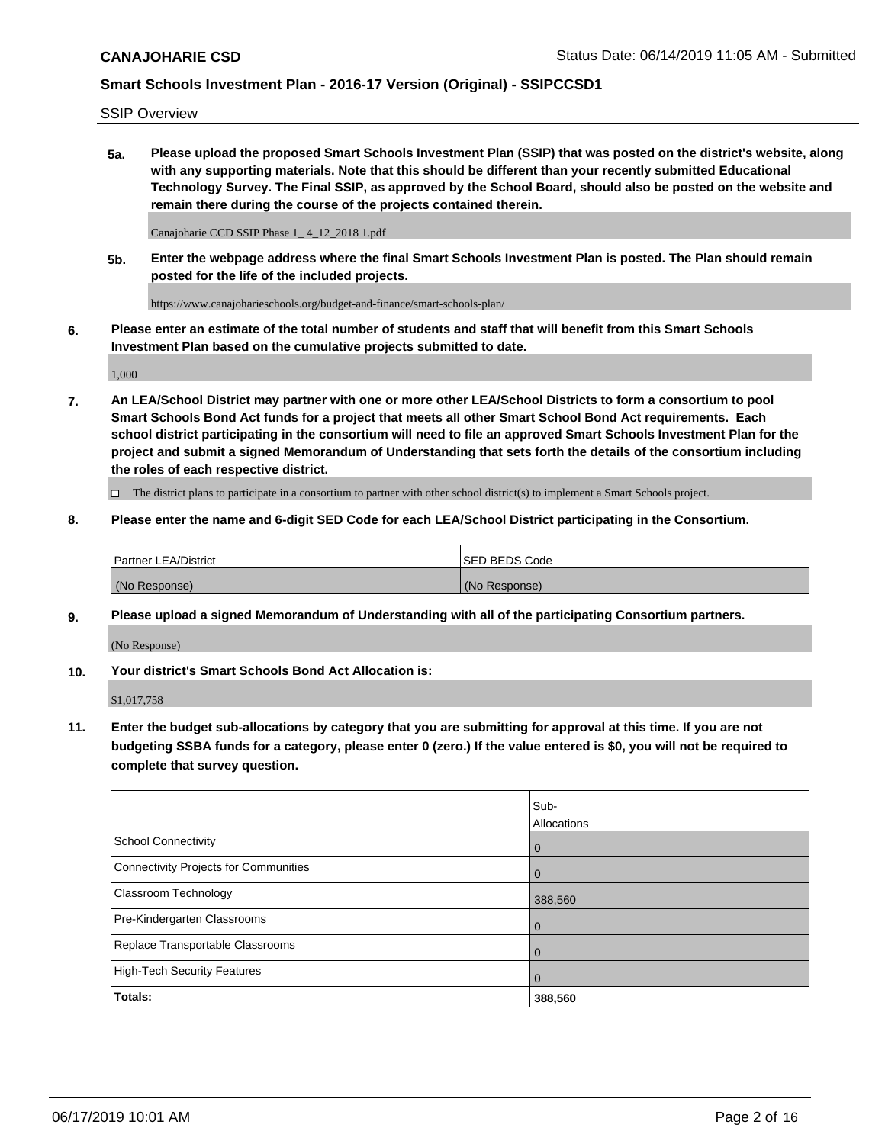SSIP Overview

**5a. Please upload the proposed Smart Schools Investment Plan (SSIP) that was posted on the district's website, along with any supporting materials. Note that this should be different than your recently submitted Educational Technology Survey. The Final SSIP, as approved by the School Board, should also be posted on the website and remain there during the course of the projects contained therein.**

Canajoharie CCD SSIP Phase 1\_ 4\_12\_2018 1.pdf

**5b. Enter the webpage address where the final Smart Schools Investment Plan is posted. The Plan should remain posted for the life of the included projects.**

https://www.canajoharieschools.org/budget-and-finance/smart-schools-plan/

**6. Please enter an estimate of the total number of students and staff that will benefit from this Smart Schools Investment Plan based on the cumulative projects submitted to date.**

1,000

**7. An LEA/School District may partner with one or more other LEA/School Districts to form a consortium to pool Smart Schools Bond Act funds for a project that meets all other Smart School Bond Act requirements. Each school district participating in the consortium will need to file an approved Smart Schools Investment Plan for the project and submit a signed Memorandum of Understanding that sets forth the details of the consortium including the roles of each respective district.**

 $\Box$  The district plans to participate in a consortium to partner with other school district(s) to implement a Smart Schools project.

#### **8. Please enter the name and 6-digit SED Code for each LEA/School District participating in the Consortium.**

| Partner LEA/District | <b>ISED BEDS Code</b> |
|----------------------|-----------------------|
| (No Response)        | (No Response)         |

#### **9. Please upload a signed Memorandum of Understanding with all of the participating Consortium partners.**

(No Response)

**10. Your district's Smart Schools Bond Act Allocation is:**

\$1,017,758

**11. Enter the budget sub-allocations by category that you are submitting for approval at this time. If you are not budgeting SSBA funds for a category, please enter 0 (zero.) If the value entered is \$0, you will not be required to complete that survey question.**

|                                       | Sub-<br><b>Allocations</b> |
|---------------------------------------|----------------------------|
| School Connectivity                   | $\overline{0}$             |
| Connectivity Projects for Communities | $\Omega$                   |
| <b>Classroom Technology</b>           | 388,560                    |
| Pre-Kindergarten Classrooms           | $\overline{0}$             |
| Replace Transportable Classrooms      |                            |
| High-Tech Security Features           | 0                          |
| Totals:                               | 388,560                    |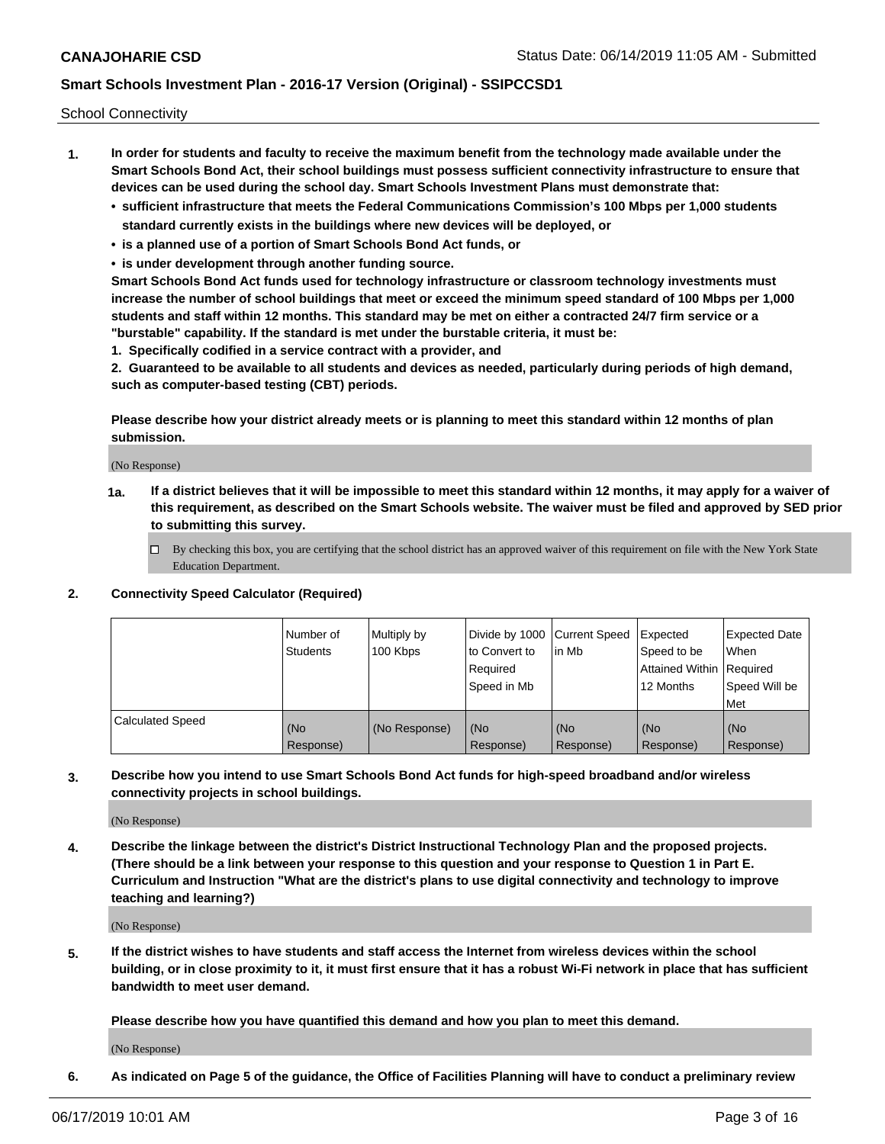School Connectivity

- **1. In order for students and faculty to receive the maximum benefit from the technology made available under the Smart Schools Bond Act, their school buildings must possess sufficient connectivity infrastructure to ensure that devices can be used during the school day. Smart Schools Investment Plans must demonstrate that:**
	- **• sufficient infrastructure that meets the Federal Communications Commission's 100 Mbps per 1,000 students standard currently exists in the buildings where new devices will be deployed, or**
	- **• is a planned use of a portion of Smart Schools Bond Act funds, or**
	- **• is under development through another funding source.**

**Smart Schools Bond Act funds used for technology infrastructure or classroom technology investments must increase the number of school buildings that meet or exceed the minimum speed standard of 100 Mbps per 1,000 students and staff within 12 months. This standard may be met on either a contracted 24/7 firm service or a "burstable" capability. If the standard is met under the burstable criteria, it must be:**

**1. Specifically codified in a service contract with a provider, and**

**2. Guaranteed to be available to all students and devices as needed, particularly during periods of high demand, such as computer-based testing (CBT) periods.**

**Please describe how your district already meets or is planning to meet this standard within 12 months of plan submission.**

(No Response)

**1a. If a district believes that it will be impossible to meet this standard within 12 months, it may apply for a waiver of this requirement, as described on the Smart Schools website. The waiver must be filed and approved by SED prior to submitting this survey.**

 $\Box$  By checking this box, you are certifying that the school district has an approved waiver of this requirement on file with the New York State Education Department.

#### **2. Connectivity Speed Calculator (Required)**

|                         | Number of<br>Students | Multiply by<br>100 Kbps | Divide by 1000 Current Speed<br>to Convert to<br>Required<br>Speed in Mb | lin Mb             | Expected<br>Speed to be<br>Attained Within   Required<br>12 Months | <b>Expected Date</b><br><b>When</b><br>Speed Will be<br>Met |
|-------------------------|-----------------------|-------------------------|--------------------------------------------------------------------------|--------------------|--------------------------------------------------------------------|-------------------------------------------------------------|
| <b>Calculated Speed</b> | (No<br>Response)      | (No Response)           | l (No<br>Response)                                                       | l (No<br>Response) | (No<br>Response)                                                   | (No<br>Response)                                            |

**3. Describe how you intend to use Smart Schools Bond Act funds for high-speed broadband and/or wireless connectivity projects in school buildings.**

(No Response)

**4. Describe the linkage between the district's District Instructional Technology Plan and the proposed projects. (There should be a link between your response to this question and your response to Question 1 in Part E. Curriculum and Instruction "What are the district's plans to use digital connectivity and technology to improve teaching and learning?)**

(No Response)

**5. If the district wishes to have students and staff access the Internet from wireless devices within the school building, or in close proximity to it, it must first ensure that it has a robust Wi-Fi network in place that has sufficient bandwidth to meet user demand.**

**Please describe how you have quantified this demand and how you plan to meet this demand.**

(No Response)

**6. As indicated on Page 5 of the guidance, the Office of Facilities Planning will have to conduct a preliminary review**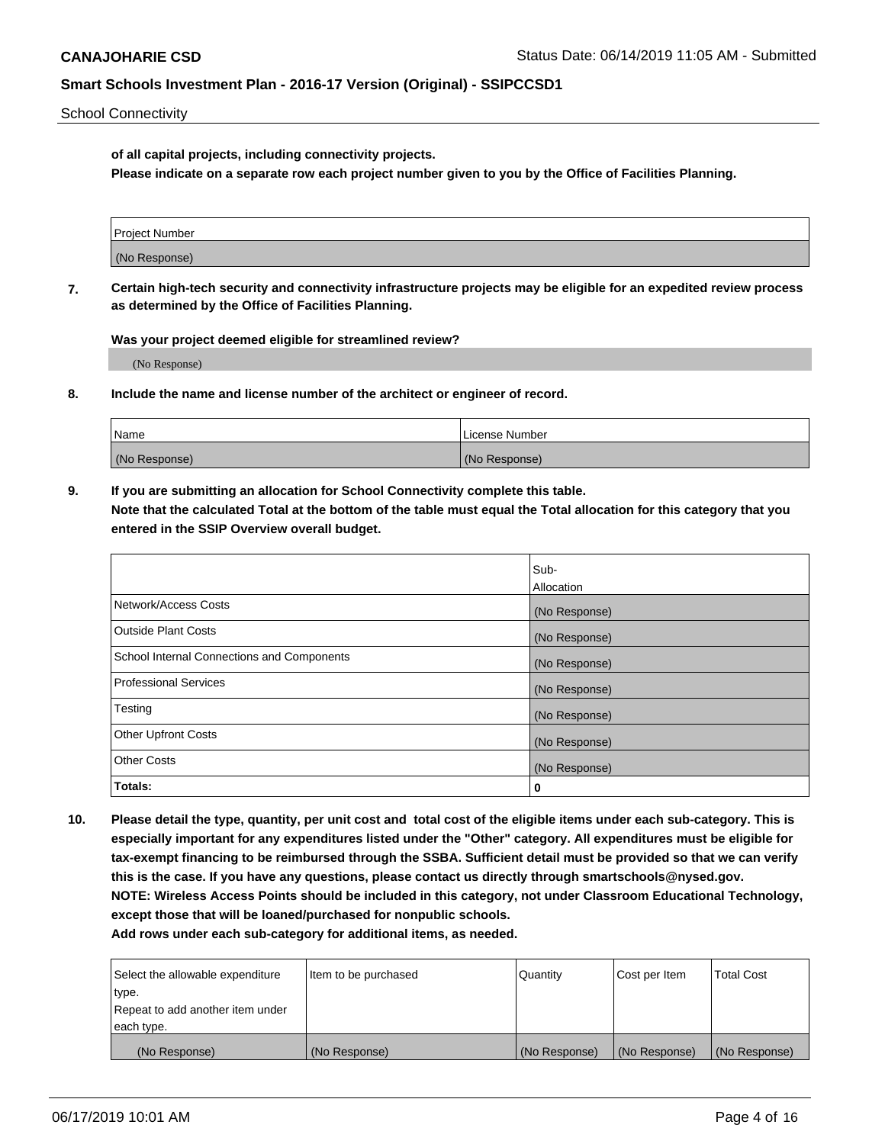School Connectivity

**of all capital projects, including connectivity projects.**

**Please indicate on a separate row each project number given to you by the Office of Facilities Planning.**

| Project Number |  |
|----------------|--|
|                |  |
| (No Response)  |  |
|                |  |

**7. Certain high-tech security and connectivity infrastructure projects may be eligible for an expedited review process as determined by the Office of Facilities Planning.**

**Was your project deemed eligible for streamlined review?**

(No Response)

**8. Include the name and license number of the architect or engineer of record.**

| Name          | License Number |
|---------------|----------------|
| (No Response) | (No Response)  |

**9. If you are submitting an allocation for School Connectivity complete this table. Note that the calculated Total at the bottom of the table must equal the Total allocation for this category that you entered in the SSIP Overview overall budget.** 

|                                            | Sub-              |
|--------------------------------------------|-------------------|
|                                            | <b>Allocation</b> |
| Network/Access Costs                       | (No Response)     |
| <b>Outside Plant Costs</b>                 | (No Response)     |
| School Internal Connections and Components | (No Response)     |
| <b>Professional Services</b>               | (No Response)     |
| Testing                                    | (No Response)     |
| <b>Other Upfront Costs</b>                 | (No Response)     |
| <b>Other Costs</b>                         | (No Response)     |
| Totals:                                    | 0                 |

**10. Please detail the type, quantity, per unit cost and total cost of the eligible items under each sub-category. This is especially important for any expenditures listed under the "Other" category. All expenditures must be eligible for tax-exempt financing to be reimbursed through the SSBA. Sufficient detail must be provided so that we can verify this is the case. If you have any questions, please contact us directly through smartschools@nysed.gov. NOTE: Wireless Access Points should be included in this category, not under Classroom Educational Technology, except those that will be loaned/purchased for nonpublic schools.**

| Select the allowable expenditure | Item to be purchased | Quantity      | <b>Cost per Item</b> | <b>Total Cost</b> |
|----------------------------------|----------------------|---------------|----------------------|-------------------|
| type.                            |                      |               |                      |                   |
| Repeat to add another item under |                      |               |                      |                   |
| each type.                       |                      |               |                      |                   |
| (No Response)                    | (No Response)        | (No Response) | (No Response)        | (No Response)     |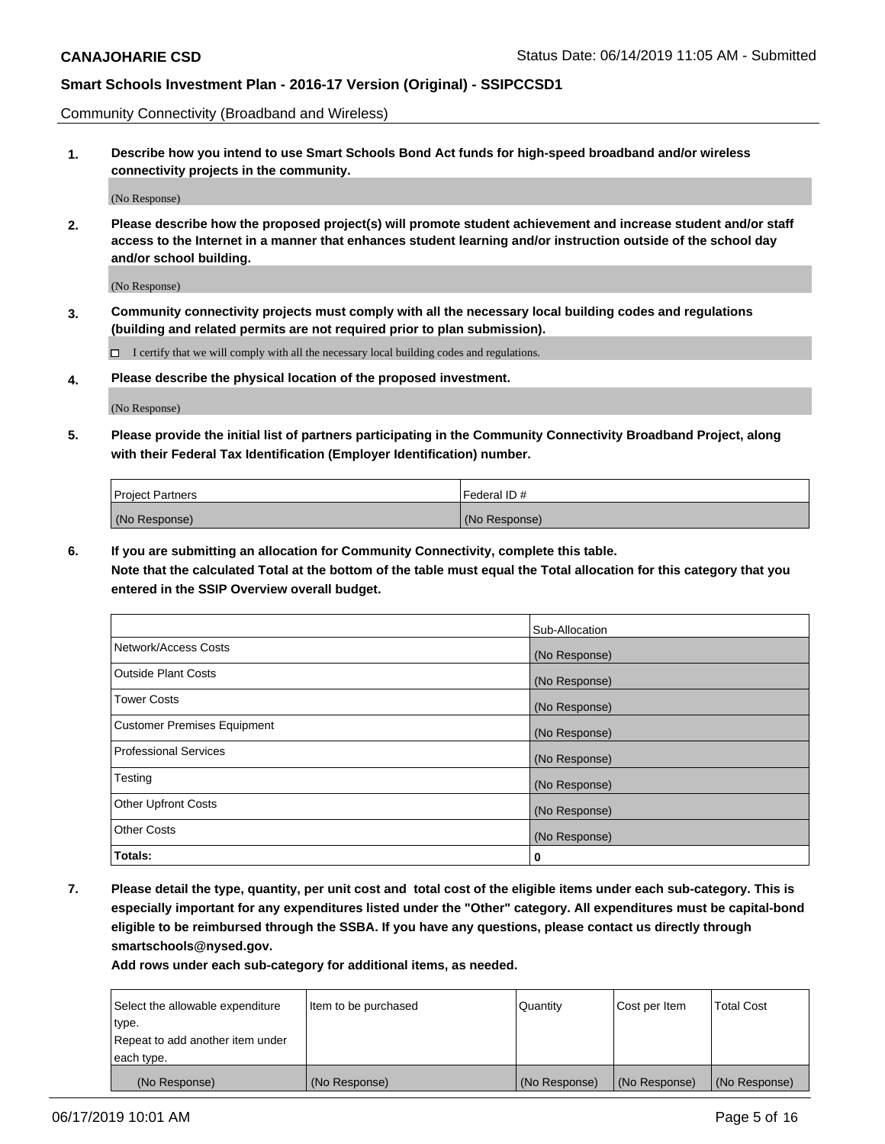Community Connectivity (Broadband and Wireless)

**1. Describe how you intend to use Smart Schools Bond Act funds for high-speed broadband and/or wireless connectivity projects in the community.**

(No Response)

**2. Please describe how the proposed project(s) will promote student achievement and increase student and/or staff access to the Internet in a manner that enhances student learning and/or instruction outside of the school day and/or school building.**

(No Response)

**3. Community connectivity projects must comply with all the necessary local building codes and regulations (building and related permits are not required prior to plan submission).**

 $\Box$  I certify that we will comply with all the necessary local building codes and regulations.

**4. Please describe the physical location of the proposed investment.**

(No Response)

**5. Please provide the initial list of partners participating in the Community Connectivity Broadband Project, along with their Federal Tax Identification (Employer Identification) number.**

| <b>Project Partners</b> | Federal ID#   |
|-------------------------|---------------|
| (No Response)           | (No Response) |

**6. If you are submitting an allocation for Community Connectivity, complete this table.**

**Note that the calculated Total at the bottom of the table must equal the Total allocation for this category that you entered in the SSIP Overview overall budget.**

|                                    | Sub-Allocation |
|------------------------------------|----------------|
| Network/Access Costs               | (No Response)  |
| <b>Outside Plant Costs</b>         | (No Response)  |
| <b>Tower Costs</b>                 | (No Response)  |
| <b>Customer Premises Equipment</b> | (No Response)  |
| <b>Professional Services</b>       | (No Response)  |
| Testing                            | (No Response)  |
| <b>Other Upfront Costs</b>         | (No Response)  |
| <b>Other Costs</b>                 | (No Response)  |
| Totals:                            | 0              |

**7. Please detail the type, quantity, per unit cost and total cost of the eligible items under each sub-category. This is especially important for any expenditures listed under the "Other" category. All expenditures must be capital-bond eligible to be reimbursed through the SSBA. If you have any questions, please contact us directly through smartschools@nysed.gov.**

| Select the allowable expenditure | Item to be purchased | Quantity      | Cost per Item | <b>Total Cost</b> |
|----------------------------------|----------------------|---------------|---------------|-------------------|
| type.                            |                      |               |               |                   |
| Repeat to add another item under |                      |               |               |                   |
| each type.                       |                      |               |               |                   |
| (No Response)                    | (No Response)        | (No Response) | (No Response) | (No Response)     |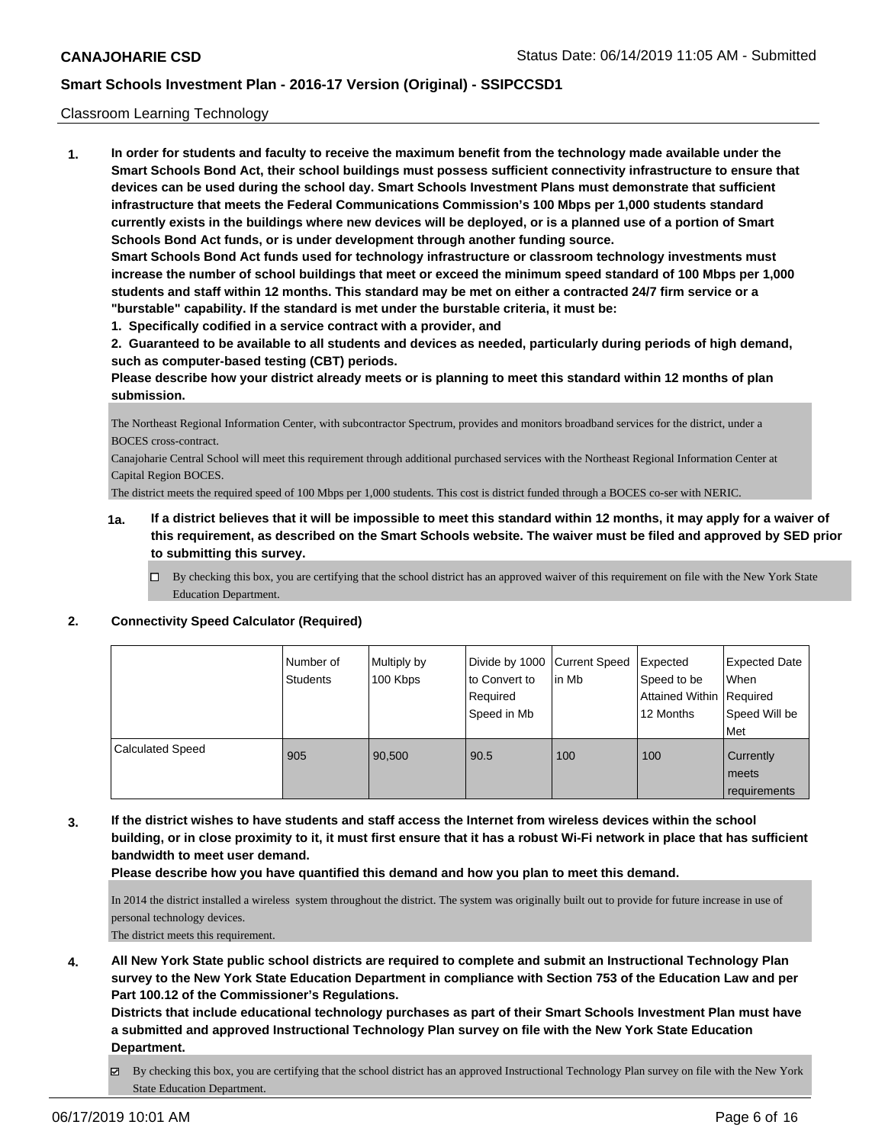#### Classroom Learning Technology

**1. In order for students and faculty to receive the maximum benefit from the technology made available under the Smart Schools Bond Act, their school buildings must possess sufficient connectivity infrastructure to ensure that devices can be used during the school day. Smart Schools Investment Plans must demonstrate that sufficient infrastructure that meets the Federal Communications Commission's 100 Mbps per 1,000 students standard currently exists in the buildings where new devices will be deployed, or is a planned use of a portion of Smart Schools Bond Act funds, or is under development through another funding source. Smart Schools Bond Act funds used for technology infrastructure or classroom technology investments must increase the number of school buildings that meet or exceed the minimum speed standard of 100 Mbps per 1,000 students and staff within 12 months. This standard may be met on either a contracted 24/7 firm service or a**

**"burstable" capability. If the standard is met under the burstable criteria, it must be:**

**1. Specifically codified in a service contract with a provider, and**

**2. Guaranteed to be available to all students and devices as needed, particularly during periods of high demand, such as computer-based testing (CBT) periods.**

**Please describe how your district already meets or is planning to meet this standard within 12 months of plan submission.**

The Northeast Regional Information Center, with subcontractor Spectrum, provides and monitors broadband services for the district, under a BOCES cross-contract.

Canajoharie Central School will meet this requirement through additional purchased services with the Northeast Regional Information Center at Capital Region BOCES.

The district meets the required speed of 100 Mbps per 1,000 students. This cost is district funded through a BOCES co-ser with NERIC.

- **1a. If a district believes that it will be impossible to meet this standard within 12 months, it may apply for a waiver of this requirement, as described on the Smart Schools website. The waiver must be filed and approved by SED prior to submitting this survey.**
	- By checking this box, you are certifying that the school district has an approved waiver of this requirement on file with the New York State Education Department.

#### **2. Connectivity Speed Calculator (Required)**

|                         | I Number of<br>Students | Multiply by<br>100 Kbps | Divide by 1000 Current Speed<br>to Convert to<br>Required<br>Speed in Mb | lin Mb | Expected<br>Speed to be<br>Attained Within Required<br>12 Months | <b>Expected Date</b><br>When<br>Speed Will be<br><b>Met</b> |
|-------------------------|-------------------------|-------------------------|--------------------------------------------------------------------------|--------|------------------------------------------------------------------|-------------------------------------------------------------|
| <b>Calculated Speed</b> | 905                     | 90,500                  | 90.5                                                                     | 100    | 100                                                              | Currently<br>meets<br>requirements                          |

**3. If the district wishes to have students and staff access the Internet from wireless devices within the school building, or in close proximity to it, it must first ensure that it has a robust Wi-Fi network in place that has sufficient bandwidth to meet user demand.**

**Please describe how you have quantified this demand and how you plan to meet this demand.**

In 2014 the district installed a wireless system throughout the district. The system was originally built out to provide for future increase in use of personal technology devices.

The district meets this requirement.

**4. All New York State public school districts are required to complete and submit an Instructional Technology Plan survey to the New York State Education Department in compliance with Section 753 of the Education Law and per Part 100.12 of the Commissioner's Regulations.**

**Districts that include educational technology purchases as part of their Smart Schools Investment Plan must have a submitted and approved Instructional Technology Plan survey on file with the New York State Education Department.**

By checking this box, you are certifying that the school district has an approved Instructional Technology Plan survey on file with the New York State Education Department.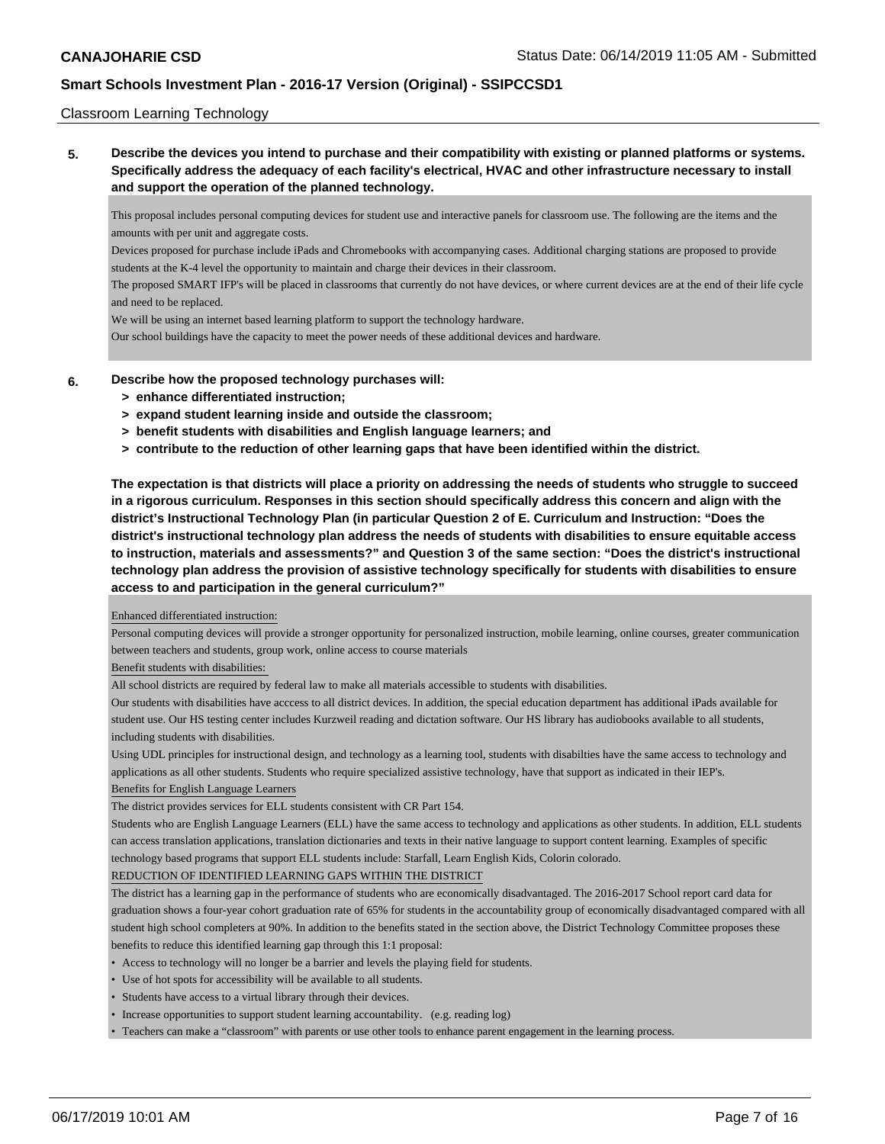#### Classroom Learning Technology

**5. Describe the devices you intend to purchase and their compatibility with existing or planned platforms or systems. Specifically address the adequacy of each facility's electrical, HVAC and other infrastructure necessary to install and support the operation of the planned technology.**

This proposal includes personal computing devices for student use and interactive panels for classroom use. The following are the items and the amounts with per unit and aggregate costs.

Devices proposed for purchase include iPads and Chromebooks with accompanying cases. Additional charging stations are proposed to provide students at the K-4 level the opportunity to maintain and charge their devices in their classroom.

The proposed SMART IFP's will be placed in classrooms that currently do not have devices, or where current devices are at the end of their life cycle and need to be replaced.

We will be using an internet based learning platform to support the technology hardware.

Our school buildings have the capacity to meet the power needs of these additional devices and hardware.

#### **6. Describe how the proposed technology purchases will:**

- **> enhance differentiated instruction;**
- **> expand student learning inside and outside the classroom;**
- **> benefit students with disabilities and English language learners; and**
- **> contribute to the reduction of other learning gaps that have been identified within the district.**

**The expectation is that districts will place a priority on addressing the needs of students who struggle to succeed in a rigorous curriculum. Responses in this section should specifically address this concern and align with the district's Instructional Technology Plan (in particular Question 2 of E. Curriculum and Instruction: "Does the district's instructional technology plan address the needs of students with disabilities to ensure equitable access to instruction, materials and assessments?" and Question 3 of the same section: "Does the district's instructional technology plan address the provision of assistive technology specifically for students with disabilities to ensure access to and participation in the general curriculum?"**

#### Enhanced differentiated instruction:

Personal computing devices will provide a stronger opportunity for personalized instruction, mobile learning, online courses, greater communication between teachers and students, group work, online access to course materials

#### Benefit students with disabilities:

All school districts are required by federal law to make all materials accessible to students with disabilities.

Our students with disabilities have acccess to all district devices. In addition, the special education department has additional iPads available for student use. Our HS testing center includes Kurzweil reading and dictation software. Our HS library has audiobooks available to all students, including students with disabilities.

Using UDL principles for instructional design, and technology as a learning tool, students with disabilties have the same access to technology and applications as all other students. Students who require specialized assistive technology, have that support as indicated in their IEP's.

#### Benefits for English Language Learners

The district provides services for ELL students consistent with CR Part 154.

Students who are English Language Learners (ELL) have the same access to technology and applications as other students. In addition, ELL students can access translation applications, translation dictionaries and texts in their native language to support content learning. Examples of specific technology based programs that support ELL students include: Starfall, Learn English Kids, Colorin colorado.

#### REDUCTION OF IDENTIFIED LEARNING GAPS WITHIN THE DISTRICT

The district has a learning gap in the performance of students who are economically disadvantaged. The 2016-2017 School report card data for graduation shows a four-year cohort graduation rate of 65% for students in the accountability group of economically disadvantaged compared with all student high school completers at 90%. In addition to the benefits stated in the section above, the District Technology Committee proposes these benefits to reduce this identified learning gap through this 1:1 proposal:

- Access to technology will no longer be a barrier and levels the playing field for students.
- Use of hot spots for accessibility will be available to all students.
- Students have access to a virtual library through their devices.
- Increase opportunities to support student learning accountability. (e.g. reading log)
- Teachers can make a "classroom" with parents or use other tools to enhance parent engagement in the learning process.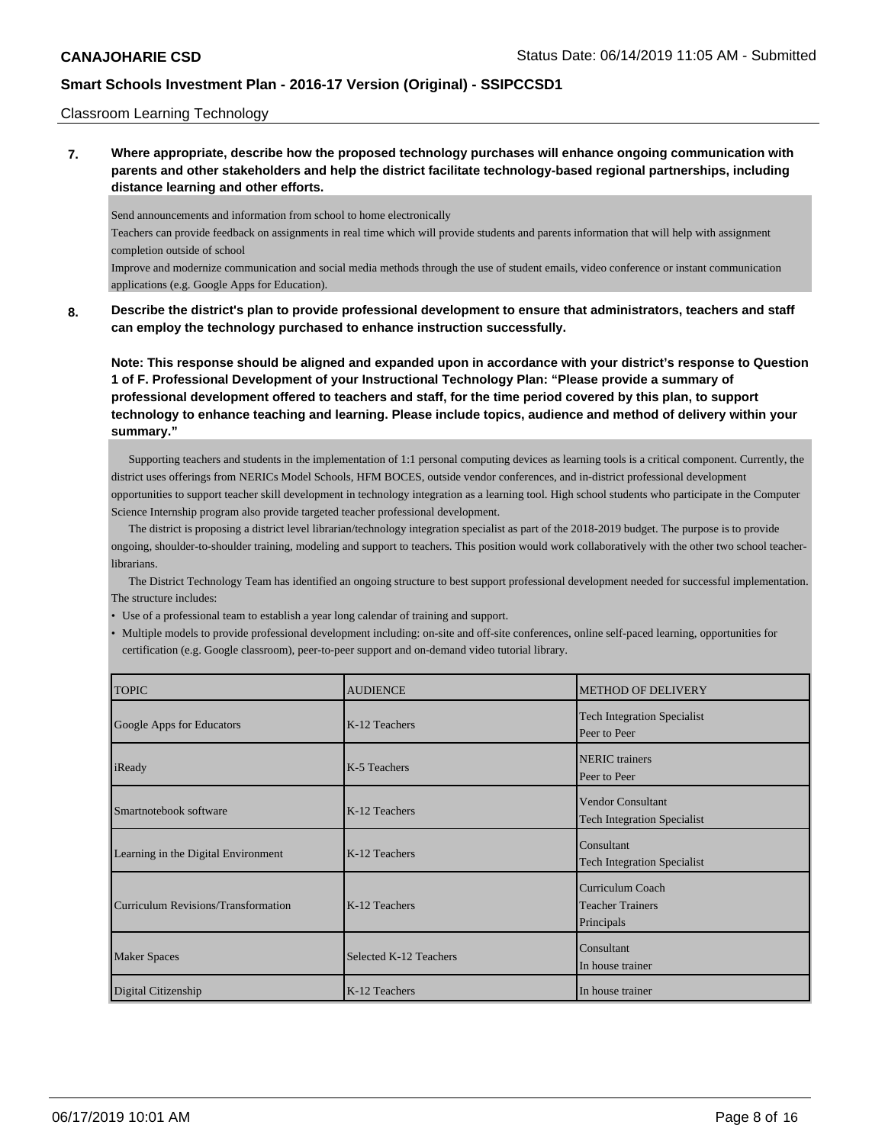#### Classroom Learning Technology

**7. Where appropriate, describe how the proposed technology purchases will enhance ongoing communication with parents and other stakeholders and help the district facilitate technology-based regional partnerships, including distance learning and other efforts.**

Send announcements and information from school to home electronically

Teachers can provide feedback on assignments in real time which will provide students and parents information that will help with assignment completion outside of school

Improve and modernize communication and social media methods through the use of student emails, video conference or instant communication applications (e.g. Google Apps for Education).

**8. Describe the district's plan to provide professional development to ensure that administrators, teachers and staff can employ the technology purchased to enhance instruction successfully.**

**Note: This response should be aligned and expanded upon in accordance with your district's response to Question 1 of F. Professional Development of your Instructional Technology Plan: "Please provide a summary of professional development offered to teachers and staff, for the time period covered by this plan, to support technology to enhance teaching and learning. Please include topics, audience and method of delivery within your summary."**

 Supporting teachers and students in the implementation of 1:1 personal computing devices as learning tools is a critical component. Currently, the district uses offerings from NERIC s Model Schools, HFM BOCES, outside vendor conferences, and in-district professional development opportunities to support teacher skill development in technology integration as a learning tool. High school students who participate in the Computer Science Internship program also provide targeted teacher professional development.

 The district is proposing a district level librarian/technology integration specialist as part of the 2018-2019 budget. The purpose is to provide ongoing, shoulder-to-shoulder training, modeling and support to teachers. This position would work collaboratively with the other two school teacherlibrarians.

 The District Technology Team has identified an ongoing structure to best support professional development needed for successful implementation. The structure includes:

- Use of a professional team to establish a year long calendar of training and support.
- Multiple models to provide professional development including: on-site and off-site conferences, online self-paced learning, opportunities for certification (e.g. Google classroom), peer-to-peer support and on-demand video tutorial library.

| <b>TOPIC</b>                        | <b>AUDIENCE</b>        | <b>METHOD OF DELIVERY</b>                                        |
|-------------------------------------|------------------------|------------------------------------------------------------------|
| Google Apps for Educators           | K-12 Teachers          | <b>Tech Integration Specialist</b><br>Peer to Peer               |
| iReady                              | K-5 Teachers           | <b>NERIC</b> trainers<br>Peer to Peer                            |
| Smartnotebook software              | K-12 Teachers          | <b>Vendor Consultant</b><br><b>Tech Integration Specialist</b>   |
| Learning in the Digital Environment | K-12 Teachers          | Consultant<br><b>Tech Integration Specialist</b>                 |
| Curriculum Revisions/Transformation | K-12 Teachers          | <b>Curriculum Coach</b><br><b>Teacher Trainers</b><br>Principals |
| <b>Maker Spaces</b>                 | Selected K-12 Teachers | Consultant<br>In house trainer                                   |
| Digital Citizenship                 | K-12 Teachers          | In house trainer                                                 |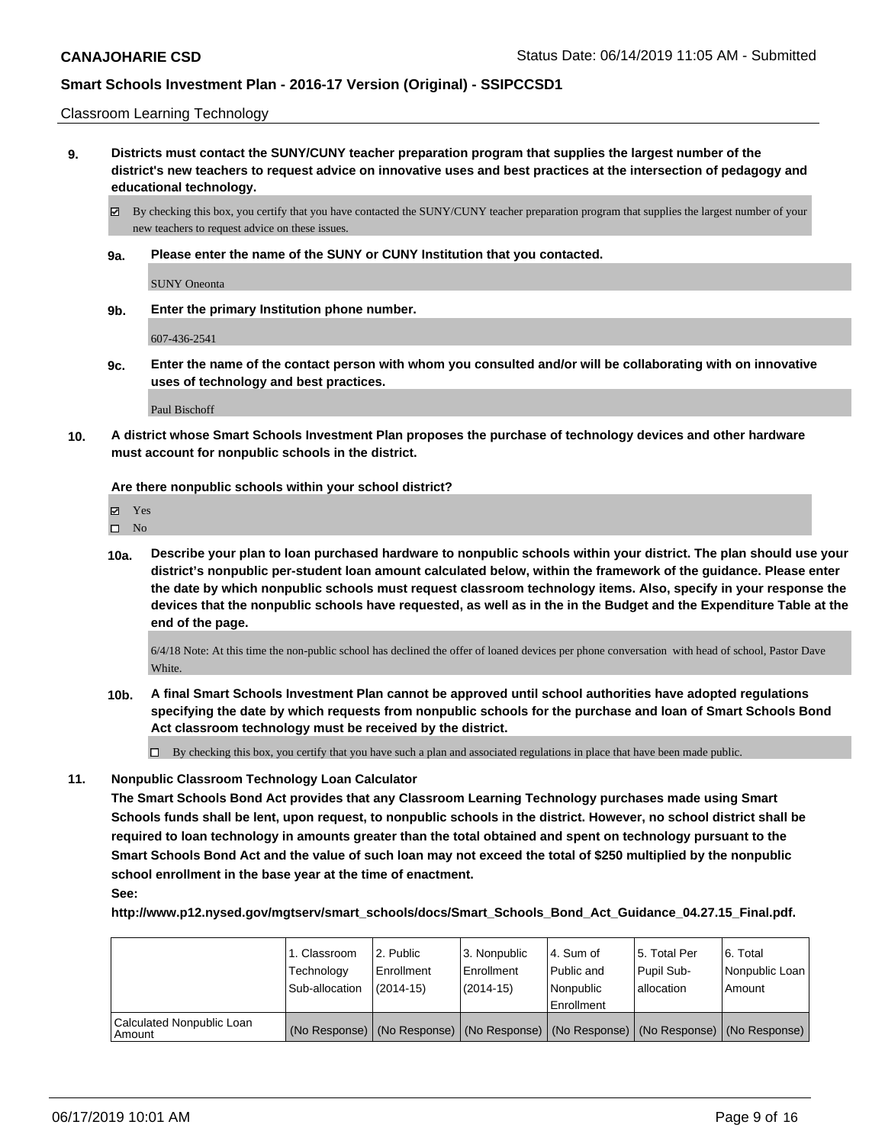Classroom Learning Technology

**9. Districts must contact the SUNY/CUNY teacher preparation program that supplies the largest number of the district's new teachers to request advice on innovative uses and best practices at the intersection of pedagogy and educational technology.**

By checking this box, you certify that you have contacted the SUNY/CUNY teacher preparation program that supplies the largest number of your new teachers to request advice on these issues.

**9a. Please enter the name of the SUNY or CUNY Institution that you contacted.**

SUNY Oneonta

**9b. Enter the primary Institution phone number.**

607-436-2541

**9c. Enter the name of the contact person with whom you consulted and/or will be collaborating with on innovative uses of technology and best practices.**

Paul Bischoff

**10. A district whose Smart Schools Investment Plan proposes the purchase of technology devices and other hardware must account for nonpublic schools in the district.**

**Are there nonpublic schools within your school district?**

|  | ٠ |
|--|---|
|--|---|

 $\hfill \square$  No

**10a. Describe your plan to loan purchased hardware to nonpublic schools within your district. The plan should use your district's nonpublic per-student loan amount calculated below, within the framework of the guidance. Please enter the date by which nonpublic schools must request classroom technology items. Also, specify in your response the devices that the nonpublic schools have requested, as well as in the in the Budget and the Expenditure Table at the end of the page.**

6/4/18 Note: At this time the non-public school has declined the offer of loaned devices per phone conversation with head of school, Pastor Dave White.

**10b. A final Smart Schools Investment Plan cannot be approved until school authorities have adopted regulations specifying the date by which requests from nonpublic schools for the purchase and loan of Smart Schools Bond Act classroom technology must be received by the district.**

 $\Box$  By checking this box, you certify that you have such a plan and associated regulations in place that have been made public.

**11. Nonpublic Classroom Technology Loan Calculator**

**The Smart Schools Bond Act provides that any Classroom Learning Technology purchases made using Smart Schools funds shall be lent, upon request, to nonpublic schools in the district. However, no school district shall be required to loan technology in amounts greater than the total obtained and spent on technology pursuant to the Smart Schools Bond Act and the value of such loan may not exceed the total of \$250 multiplied by the nonpublic school enrollment in the base year at the time of enactment. See:**

**http://www.p12.nysed.gov/mgtserv/smart\_schools/docs/Smart\_Schools\_Bond\_Act\_Guidance\_04.27.15\_Final.pdf.**

|                                       | 1. Classroom<br>Technology<br>Sub-allocation | 2. Public<br>l Enrollment<br>$(2014 - 15)$ | l 3. Nonpublic<br>l Enrollment<br>(2014-15) | 14. Sum of<br>Public and<br>l Nonpublic<br>Enrollment | 15. Total Per<br>Pupil Sub-<br>allocation | l 6. Total<br>Nonpublic Loan<br>l Amount                                                      |
|---------------------------------------|----------------------------------------------|--------------------------------------------|---------------------------------------------|-------------------------------------------------------|-------------------------------------------|-----------------------------------------------------------------------------------------------|
| Calculated Nonpublic Loan<br>l Amount |                                              |                                            |                                             |                                                       |                                           | (No Response)   (No Response)   (No Response)   (No Response)   (No Response)   (No Response) |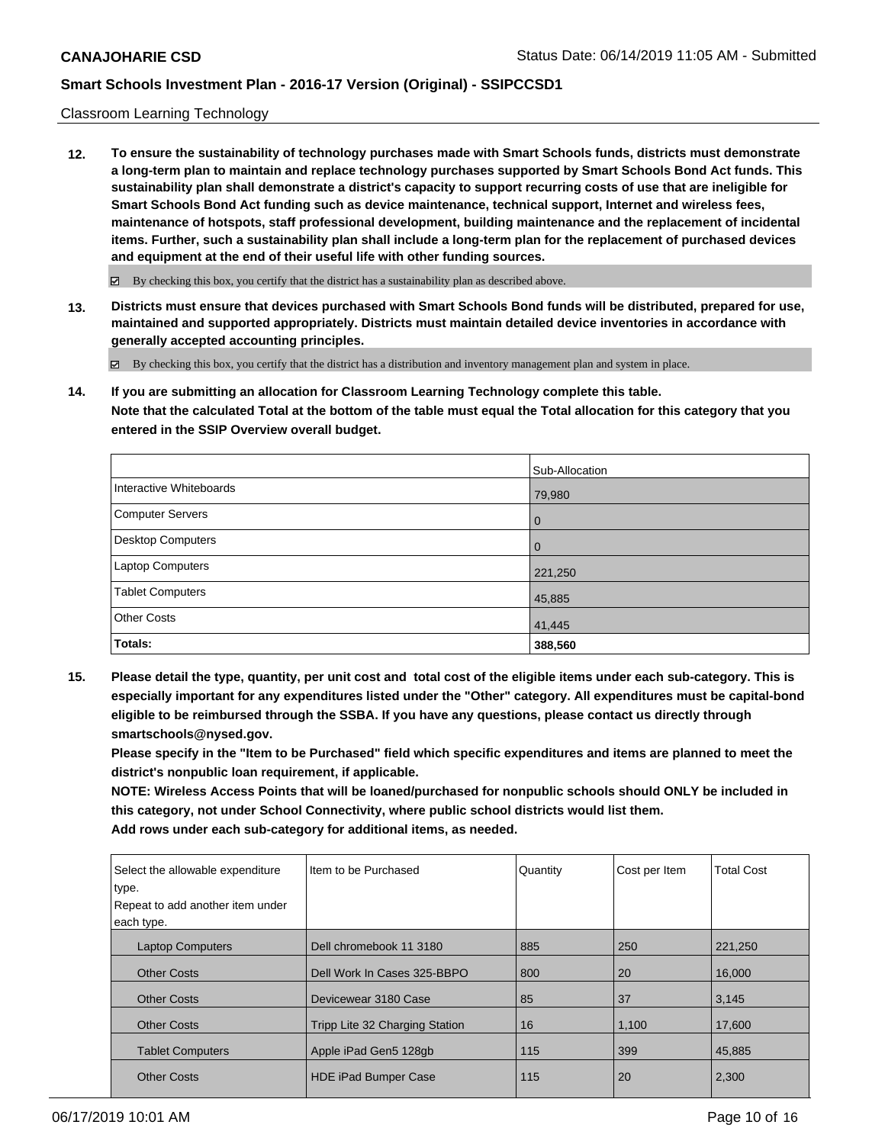#### Classroom Learning Technology

**12. To ensure the sustainability of technology purchases made with Smart Schools funds, districts must demonstrate a long-term plan to maintain and replace technology purchases supported by Smart Schools Bond Act funds. This sustainability plan shall demonstrate a district's capacity to support recurring costs of use that are ineligible for Smart Schools Bond Act funding such as device maintenance, technical support, Internet and wireless fees, maintenance of hotspots, staff professional development, building maintenance and the replacement of incidental items. Further, such a sustainability plan shall include a long-term plan for the replacement of purchased devices and equipment at the end of their useful life with other funding sources.**

 $\boxtimes$  By checking this box, you certify that the district has a sustainability plan as described above.

**13. Districts must ensure that devices purchased with Smart Schools Bond funds will be distributed, prepared for use, maintained and supported appropriately. Districts must maintain detailed device inventories in accordance with generally accepted accounting principles.**

By checking this box, you certify that the district has a distribution and inventory management plan and system in place.

**14. If you are submitting an allocation for Classroom Learning Technology complete this table. Note that the calculated Total at the bottom of the table must equal the Total allocation for this category that you entered in the SSIP Overview overall budget.**

|                         | Sub-Allocation |
|-------------------------|----------------|
| Interactive Whiteboards | 79,980         |
| Computer Servers        | $\overline{0}$ |
| Desktop Computers       | $\overline{0}$ |
| Laptop Computers        | 221,250        |
| <b>Tablet Computers</b> | 45,885         |
| <b>Other Costs</b>      | 41,445         |
| Totals:                 | 388,560        |

**15. Please detail the type, quantity, per unit cost and total cost of the eligible items under each sub-category. This is especially important for any expenditures listed under the "Other" category. All expenditures must be capital-bond eligible to be reimbursed through the SSBA. If you have any questions, please contact us directly through smartschools@nysed.gov.**

**Please specify in the "Item to be Purchased" field which specific expenditures and items are planned to meet the district's nonpublic loan requirement, if applicable.**

**NOTE: Wireless Access Points that will be loaned/purchased for nonpublic schools should ONLY be included in this category, not under School Connectivity, where public school districts would list them. Add rows under each sub-category for additional items, as needed.**

| Select the allowable expenditure<br>type. | Iltem to be Purchased          | Quantity | Cost per Item | <b>Total Cost</b> |
|-------------------------------------------|--------------------------------|----------|---------------|-------------------|
| Repeat to add another item under          |                                |          |               |                   |
| each type.                                |                                |          |               |                   |
| <b>Laptop Computers</b>                   | Dell chromebook 11 3180        | 885      | 250           | 221,250           |
| <b>Other Costs</b>                        | Dell Work In Cases 325-BBPO    | 800      | 20            | 16,000            |
| <b>Other Costs</b>                        | Devicewear 3180 Case           | 85       | 37            | 3,145             |
| <b>Other Costs</b>                        | Tripp Lite 32 Charging Station | 16       | 1,100         | 17,600            |
| <b>Tablet Computers</b>                   | Apple iPad Gen5 128gb          | 115      | 399           | 45,885            |
| <b>Other Costs</b>                        | <b>HDE iPad Bumper Case</b>    | 115      | 20            | 2,300             |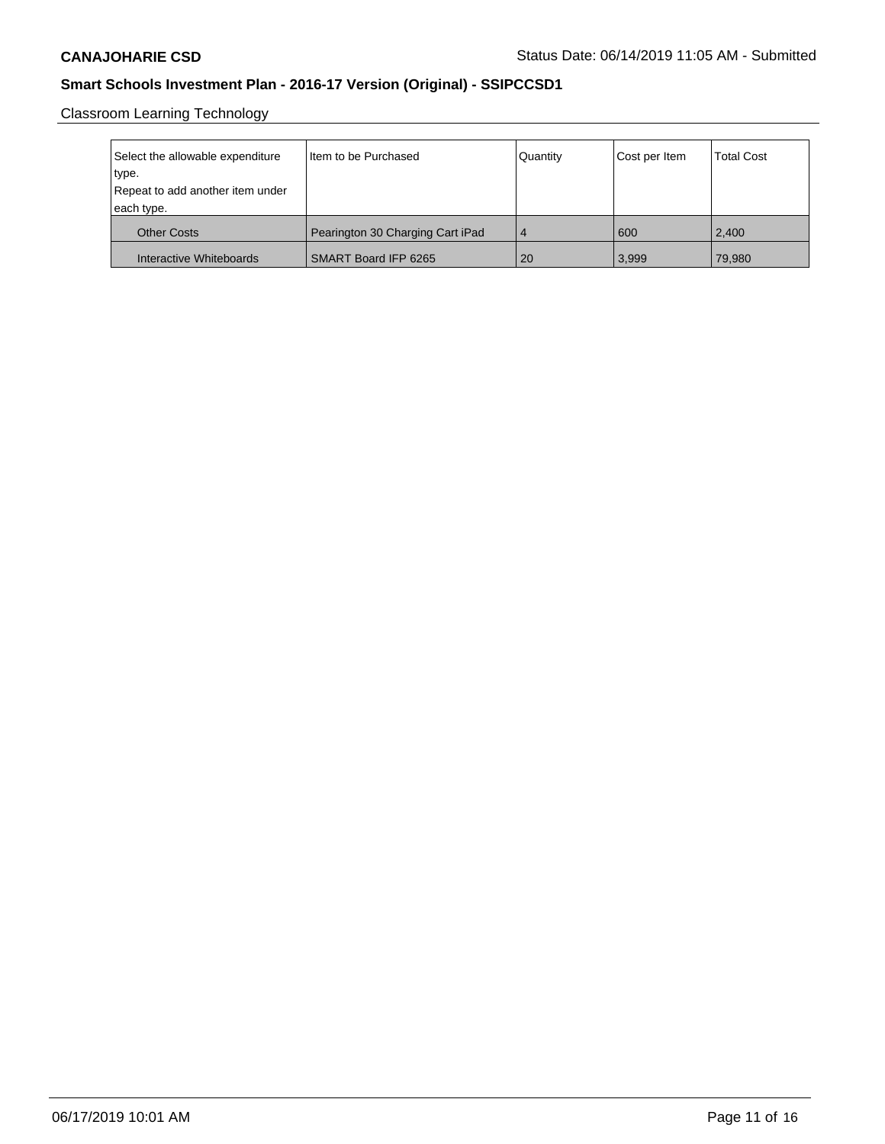Classroom Learning Technology

| Select the allowable expenditure<br>type.<br>Repeat to add another item under<br>each type. | Item to be Purchased             | Quantity       | Cost per Item | <b>Total Cost</b> |
|---------------------------------------------------------------------------------------------|----------------------------------|----------------|---------------|-------------------|
| <b>Other Costs</b>                                                                          | Pearington 30 Charging Cart iPad | $\overline{4}$ | 600           | 2.400             |
| Interactive Whiteboards                                                                     | SMART Board IFP 6265             | 20             | 3,999         | 79,980            |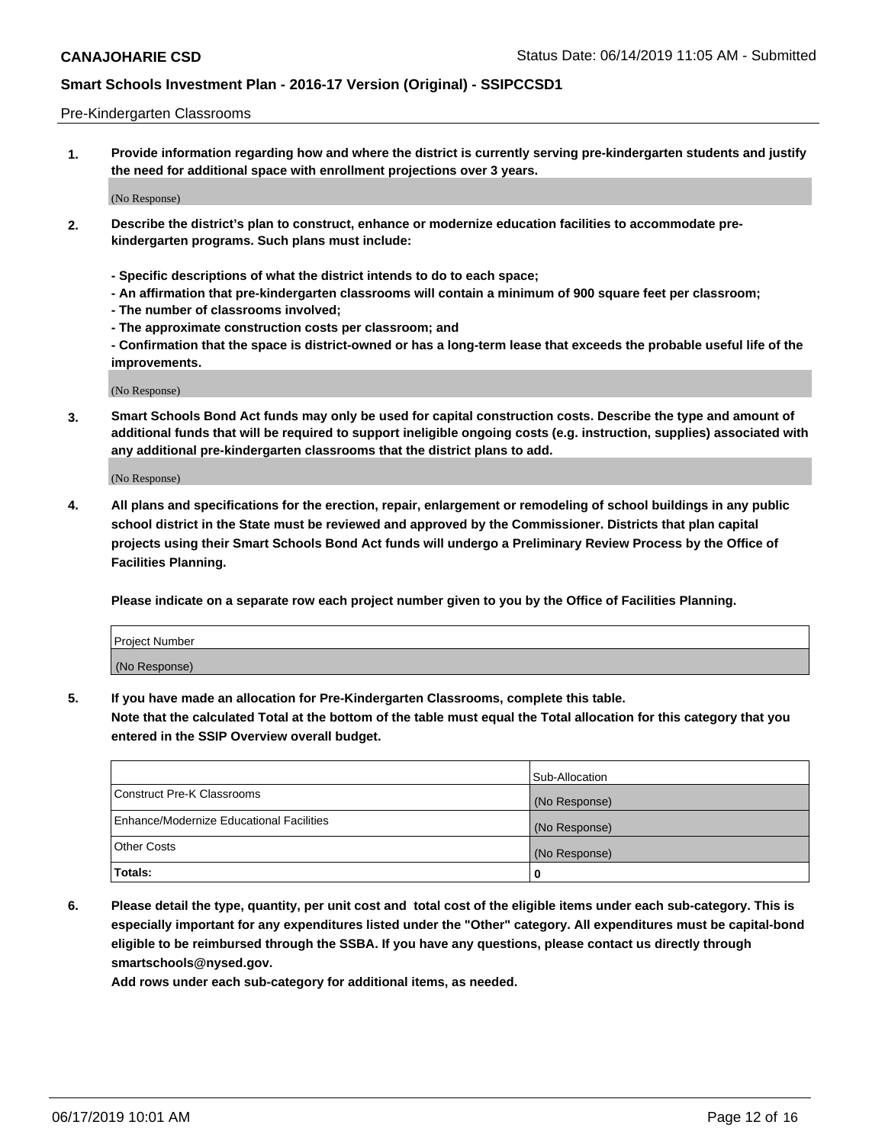#### Pre-Kindergarten Classrooms

**1. Provide information regarding how and where the district is currently serving pre-kindergarten students and justify the need for additional space with enrollment projections over 3 years.**

(No Response)

- **2. Describe the district's plan to construct, enhance or modernize education facilities to accommodate prekindergarten programs. Such plans must include:**
	- **Specific descriptions of what the district intends to do to each space;**
	- **An affirmation that pre-kindergarten classrooms will contain a minimum of 900 square feet per classroom;**
	- **The number of classrooms involved;**
	- **The approximate construction costs per classroom; and**
	- **Confirmation that the space is district-owned or has a long-term lease that exceeds the probable useful life of the improvements.**

(No Response)

**3. Smart Schools Bond Act funds may only be used for capital construction costs. Describe the type and amount of additional funds that will be required to support ineligible ongoing costs (e.g. instruction, supplies) associated with any additional pre-kindergarten classrooms that the district plans to add.**

(No Response)

**4. All plans and specifications for the erection, repair, enlargement or remodeling of school buildings in any public school district in the State must be reviewed and approved by the Commissioner. Districts that plan capital projects using their Smart Schools Bond Act funds will undergo a Preliminary Review Process by the Office of Facilities Planning.**

**Please indicate on a separate row each project number given to you by the Office of Facilities Planning.**

| Project Number |  |
|----------------|--|
| (No Response)  |  |
|                |  |

**5. If you have made an allocation for Pre-Kindergarten Classrooms, complete this table.**

**Note that the calculated Total at the bottom of the table must equal the Total allocation for this category that you entered in the SSIP Overview overall budget.**

|                                          | Sub-Allocation |
|------------------------------------------|----------------|
| Construct Pre-K Classrooms               | (No Response)  |
| Enhance/Modernize Educational Facilities | (No Response)  |
| <b>Other Costs</b>                       | (No Response)  |
| Totals:                                  | 0              |

**6. Please detail the type, quantity, per unit cost and total cost of the eligible items under each sub-category. This is especially important for any expenditures listed under the "Other" category. All expenditures must be capital-bond eligible to be reimbursed through the SSBA. If you have any questions, please contact us directly through smartschools@nysed.gov.**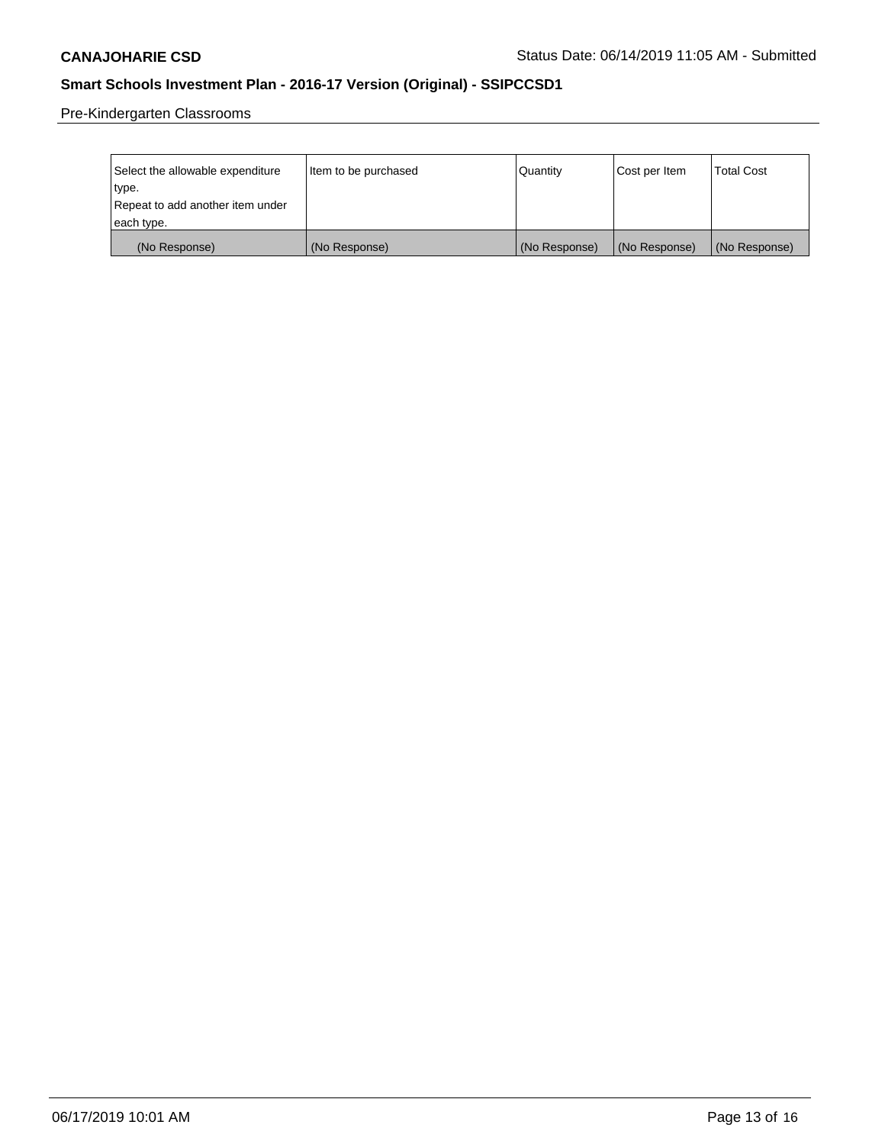Pre-Kindergarten Classrooms

| Select the allowable expenditure | Item to be purchased | Quantity      | Cost per Item | <b>Total Cost</b> |
|----------------------------------|----------------------|---------------|---------------|-------------------|
| type.                            |                      |               |               |                   |
| Repeat to add another item under |                      |               |               |                   |
| each type.                       |                      |               |               |                   |
| (No Response)                    | (No Response)        | (No Response) | (No Response) | (No Response)     |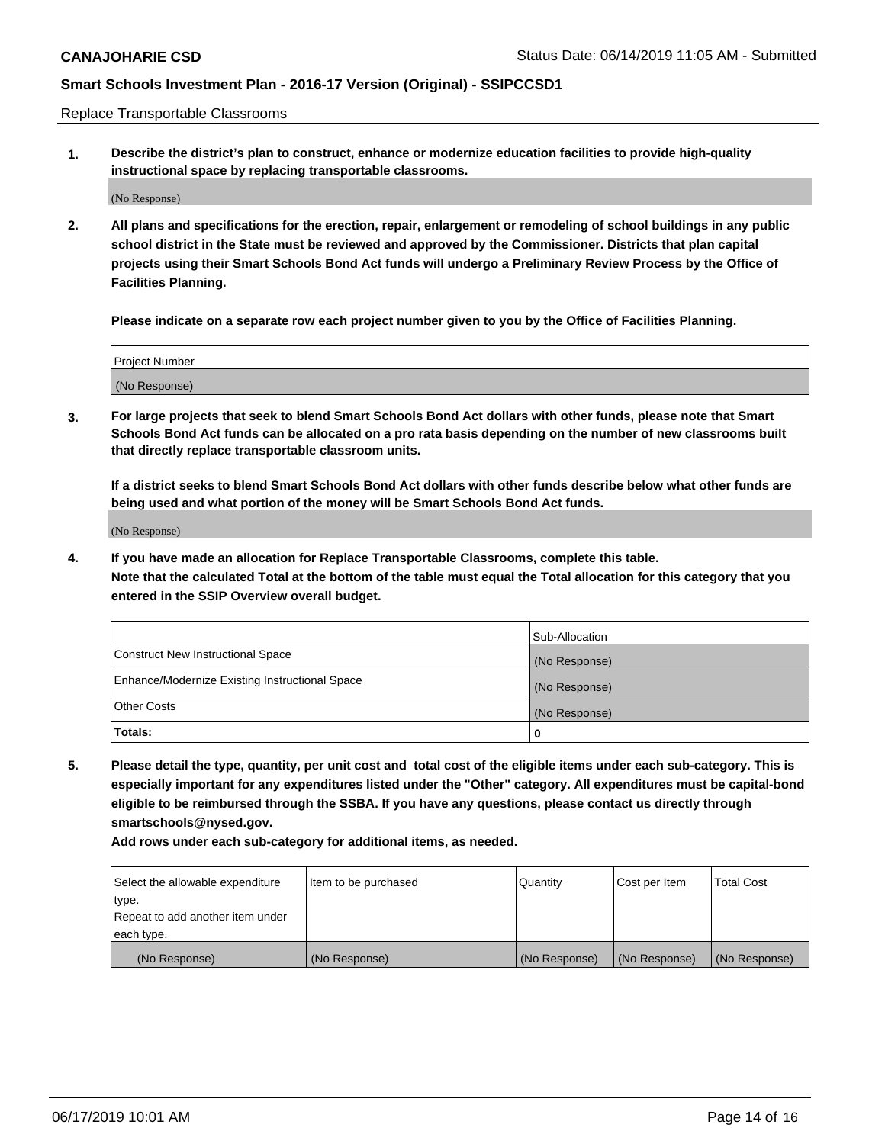Replace Transportable Classrooms

**1. Describe the district's plan to construct, enhance or modernize education facilities to provide high-quality instructional space by replacing transportable classrooms.**

(No Response)

**2. All plans and specifications for the erection, repair, enlargement or remodeling of school buildings in any public school district in the State must be reviewed and approved by the Commissioner. Districts that plan capital projects using their Smart Schools Bond Act funds will undergo a Preliminary Review Process by the Office of Facilities Planning.**

**Please indicate on a separate row each project number given to you by the Office of Facilities Planning.**

| Project Number |  |
|----------------|--|
|                |  |
|                |  |
|                |  |
|                |  |
| (No Response)  |  |
|                |  |
|                |  |
|                |  |

**3. For large projects that seek to blend Smart Schools Bond Act dollars with other funds, please note that Smart Schools Bond Act funds can be allocated on a pro rata basis depending on the number of new classrooms built that directly replace transportable classroom units.**

**If a district seeks to blend Smart Schools Bond Act dollars with other funds describe below what other funds are being used and what portion of the money will be Smart Schools Bond Act funds.**

(No Response)

**4. If you have made an allocation for Replace Transportable Classrooms, complete this table. Note that the calculated Total at the bottom of the table must equal the Total allocation for this category that you entered in the SSIP Overview overall budget.**

|                                                | Sub-Allocation |
|------------------------------------------------|----------------|
| Construct New Instructional Space              | (No Response)  |
| Enhance/Modernize Existing Instructional Space | (No Response)  |
| <b>Other Costs</b>                             | (No Response)  |
| Totals:                                        | 0              |

**5. Please detail the type, quantity, per unit cost and total cost of the eligible items under each sub-category. This is especially important for any expenditures listed under the "Other" category. All expenditures must be capital-bond eligible to be reimbursed through the SSBA. If you have any questions, please contact us directly through smartschools@nysed.gov.**

| Select the allowable expenditure | I ltem to be purchased | l Quantitv    | Cost per Item | <b>Total Cost</b> |
|----------------------------------|------------------------|---------------|---------------|-------------------|
| type.                            |                        |               |               |                   |
| Repeat to add another item under |                        |               |               |                   |
| each type.                       |                        |               |               |                   |
| (No Response)                    | (No Response)          | (No Response) | (No Response) | (No Response)     |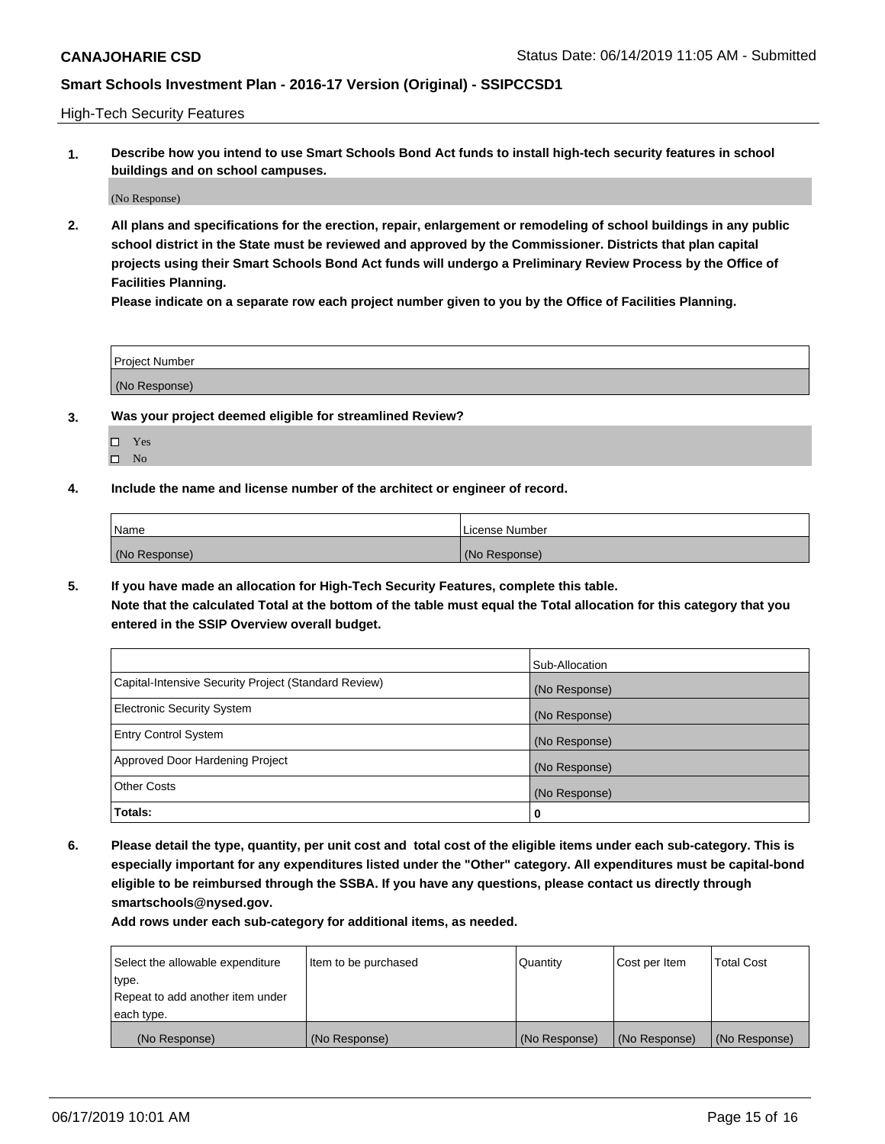High-Tech Security Features

**1. Describe how you intend to use Smart Schools Bond Act funds to install high-tech security features in school buildings and on school campuses.**

(No Response)

**2. All plans and specifications for the erection, repair, enlargement or remodeling of school buildings in any public school district in the State must be reviewed and approved by the Commissioner. Districts that plan capital projects using their Smart Schools Bond Act funds will undergo a Preliminary Review Process by the Office of Facilities Planning.** 

**Please indicate on a separate row each project number given to you by the Office of Facilities Planning.**

| <b>Project Number</b> |  |
|-----------------------|--|
| (No Response)         |  |

- **3. Was your project deemed eligible for streamlined Review?**
	- Yes
	- $\square$  No
- **4. Include the name and license number of the architect or engineer of record.**

| <b>Name</b>   | License Number |
|---------------|----------------|
| (No Response) | (No Response)  |

**5. If you have made an allocation for High-Tech Security Features, complete this table.**

**Note that the calculated Total at the bottom of the table must equal the Total allocation for this category that you entered in the SSIP Overview overall budget.**

|                                                      | Sub-Allocation |
|------------------------------------------------------|----------------|
| Capital-Intensive Security Project (Standard Review) | (No Response)  |
| <b>Electronic Security System</b>                    | (No Response)  |
| <b>Entry Control System</b>                          | (No Response)  |
| Approved Door Hardening Project                      | (No Response)  |
| <b>Other Costs</b>                                   | (No Response)  |
| Totals:                                              | 0              |

**6. Please detail the type, quantity, per unit cost and total cost of the eligible items under each sub-category. This is especially important for any expenditures listed under the "Other" category. All expenditures must be capital-bond eligible to be reimbursed through the SSBA. If you have any questions, please contact us directly through smartschools@nysed.gov.**

| Select the allowable expenditure | Item to be purchased | l Quantitv    | Cost per Item | <b>Total Cost</b> |
|----------------------------------|----------------------|---------------|---------------|-------------------|
| type.                            |                      |               |               |                   |
| Repeat to add another item under |                      |               |               |                   |
| each type.                       |                      |               |               |                   |
| (No Response)                    | (No Response)        | (No Response) | (No Response) | (No Response)     |